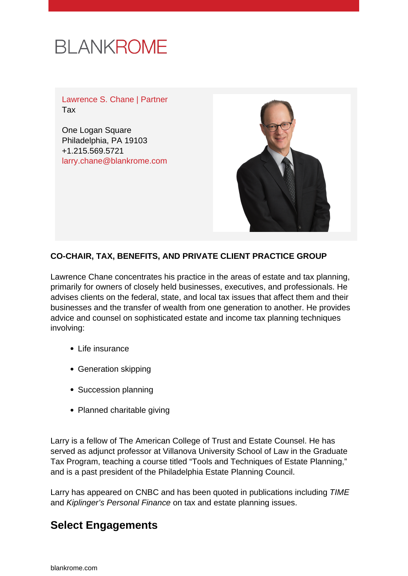

Lawrence S. Chane | Partner Tax

One Logan Square Philadelphia, PA 19103 +1.215.569.5721 [larry.chane@blankrome.com](mailto:larry.chane@blankrome.com)



#### **CO-CHAIR, TAX, BENEFITS, AND PRIVATE CLIENT PRACTICE GROUP**

Lawrence Chane concentrates his practice in the areas of estate and tax planning, primarily for owners of closely held businesses, executives, and professionals. He advises clients on the federal, state, and local tax issues that affect them and their businesses and the transfer of wealth from one generation to another. He provides advice and counsel on sophisticated estate and income tax planning techniques involving:

- Life insurance
- Generation skipping
- Succession planning
- Planned charitable giving

Larry is a fellow of The American College of Trust and Estate Counsel. He has served as adjunct professor at Villanova University School of Law in the Graduate Tax Program, teaching a course titled "Tools and Techniques of Estate Planning," and is a past president of the Philadelphia Estate Planning Council.

Larry has appeared on CNBC and has been quoted in publications including TIME and Kiplinger's Personal Finance on tax and estate planning issues.

#### **Select Engagements**

[blankrome.com](https://www.blankrome.com)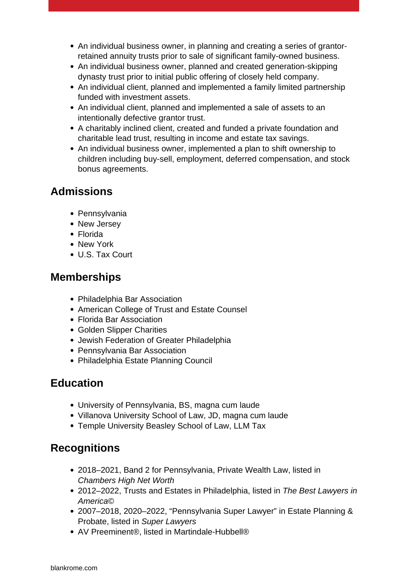- An individual business owner, in planning and creating a series of grantorretained annuity trusts prior to sale of significant family-owned business.
- An individual business owner, planned and created generation-skipping dynasty trust prior to initial public offering of closely held company.
- An individual client, planned and implemented a family limited partnership funded with investment assets.
- An individual client, planned and implemented a sale of assets to an intentionally defective grantor trust.
- A charitably inclined client, created and funded a private foundation and charitable lead trust, resulting in income and estate tax savings.
- An individual business owner, implemented a plan to shift ownership to children including buy-sell, employment, deferred compensation, and stock bonus agreements.

## **Admissions**

- Pennsylvania
- New Jersey
- Florida
- New York
- U.S. Tax Court

## **Memberships**

- Philadelphia Bar Association
- American College of Trust and Estate Counsel
- Florida Bar Association
- Golden Slipper Charities
- Jewish Federation of Greater Philadelphia
- Pennsylvania Bar Association
- Philadelphia Estate Planning Council

# **Education**

- University of Pennsylvania, BS, magna cum laude
- Villanova University School of Law, JD, magna cum laude
- Temple University Beasley School of Law, LLM Tax

## **Recognitions**

- 2018–2021, Band 2 for Pennsylvania, Private Wealth Law, listed in Chambers High Net Worth
- 2012–2022, Trusts and Estates in Philadelphia, listed in The Best Lawyers in America©
- 2007–2018, 2020–2022, "Pennsylvania Super Lawyer" in Estate Planning & Probate, listed in Super Lawyers
- AV Preeminent®, listed in Martindale-Hubbell®